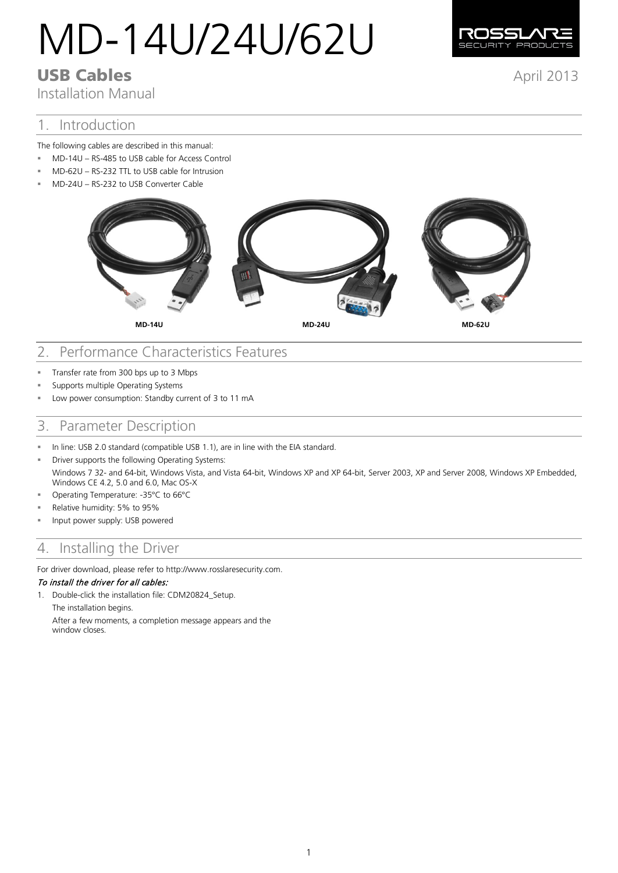# MD-14U/24U/62U



Installation Manual

## 1. Introduction

The following cables are described in this manual:

- MD-14U RS-485 to USB cable for Access Control
- MD-62U RS-232 TTL to USB cable for Intrusion
- MD-24U RS-232 to USB Converter Cable



**MD-14U MD-24U MD-62U**

# 2. Performance Characteristics Features

- Transfer rate from 300 bps up to 3 Mbps
- **Supports multiple Operating Systems**
- Low power consumption: Standby current of 3 to 11 mA

## 3. Parameter Description

- In line: USB 2.0 standard (compatible USB 1.1), are in line with the EIA standard.
- **EXECUTE:** Driver supports the following Operating Systems: Windows 7 32- and 64-bit, Windows Vista, and Vista 64-bit, Windows XP and XP 64-bit, Server 2003, XP and Server 2008, Windows XP Embedded, Windows CE 4.2, 5.0 and 6.0, Mac OS-X
- Operating Temperature: -35°C to 66°C
- Relative humidity: 5% to 95%
- Input power supply: USB powered

# 4. Installing the Driver

For driver download, please refer to http://www.rosslaresecurity.com.

#### To install the driver for all cables:

1. Double-click the installation file: CDM20824\_Setup.

The installation begins.

After a few moments, a completion message appears and the window closes.